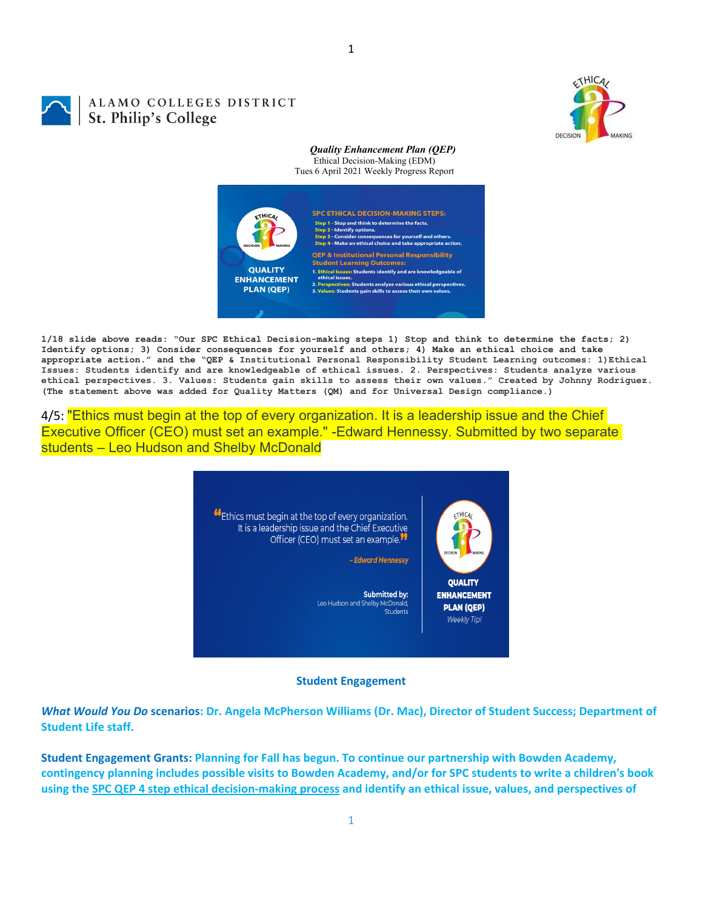

# ALAMO COLLEGES DISTRICT St. Philip's College

#### *Quality Enhancement Plan (QEP)* Ethical Decision-Making (EDM) Tues 6 April 2021 Weekly Progress Report



1

**1/18 slide above reads: "Our SPC Ethical Decision-making steps 1) Stop and think to determine the facts; 2) Identify options; 3) Consider consequences for yourself and others; 4) Make an ethical choice and take appropriate action." and the "QEP & Institutional Personal Responsibility Student Learning outcomes: 1)Ethical Issues: Students identify and are knowledgeable of ethical issues. 2. Perspectives: Students analyze various ethical perspectives. 3. Values: Students gain skills to assess their own values." Created by Johnny Rodriguez. (The statement above was added for Quality Matters (QM) and for Universal Design compliance.)**

4/5: "Ethics must begin at the top of every organization. It is a leadership issue and the Chief Executive Officer (CEO) must set an example." -Edward Hennessy. Submitted by two separate students – Leo Hudson and Shelby McDonald

> Ethics must begin at the top of every organization. It is a leadership issue and the Chief Executive Officer (CEO) must set an example.<sup>11</sup> - Edward Hennessy

> > **Submitted by:** Leo Hudson and Shelby McDonald Students



**QUALITY ENHANCEMENT PLAN (QEP)** Weekly Tip!

**Student Engagement**

What Would You Do scenarios: Dr. Angela McPherson Williams (Dr. Mac), Director of Student Success; Department of **Student Life staff.**

**Student Engagement Grants: Planning for Fall has begun. To continue our partnership with Bowden Academy,** contingency planning includes possible visits to Bowden Academy, and/or for SPC students to write a children's book using the SPC QEP 4 step ethical decision-making process and identify an ethical issue, values, and perspectives of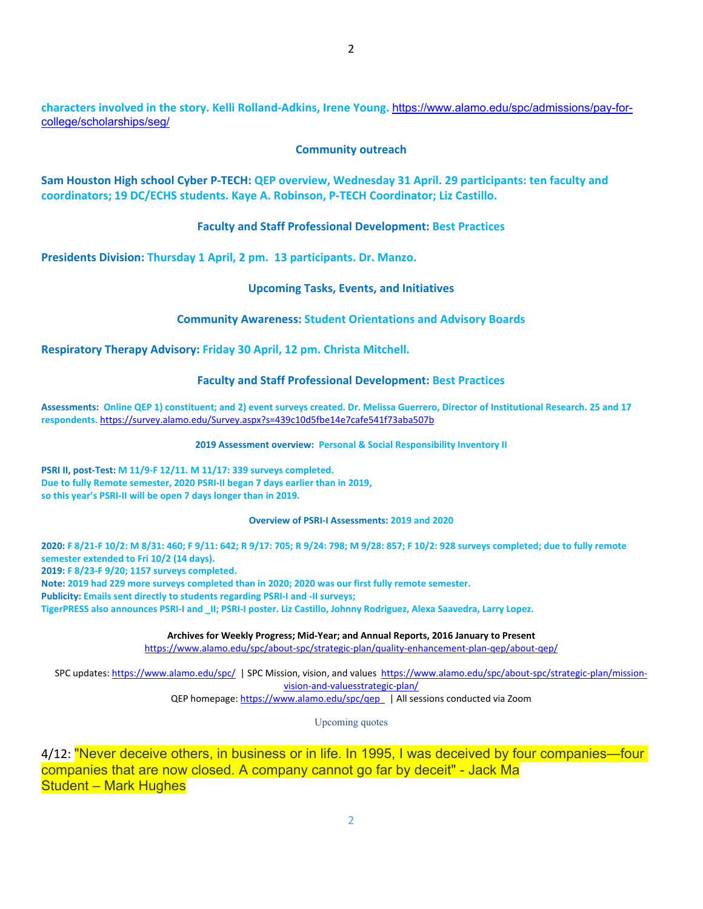**characters involved in the story. Kelli Rolland‐Adkins, Irene Young.** https://www.alamo.edu/spc/admissions/pay-forcollege/scholarships/seg/

#### **Community outreach**

Sam Houston High school Cyber P-TECH: QEP overview, Wednesday 31 April. 29 participants: ten faculty and **coordinators; 19 DC/ECHS students. Kaye A. Robinson, P‐TECH Coordinator; Liz Castillo.**

## **Faculty and Staff Professional Development: Best Practices**

**Presidents Division: Thursday 1 April, 2 pm. 13 participants. Dr. Manzo.**

## **Upcoming Tasks, Events, and Initiatives**

## **Community Awareness: Student Orientations and Advisory Boards**

**Respiratory Therapy Advisory: Friday 30 April, 12 pm. Christa Mitchell.**

# **Faculty and Staff Professional Development: Best Practices**

Assessments: Online QEP 1) constituent; and 2) event surveys created. Dr. Melissa Guerrero, Director of Institutional Research. 25 and 17 **respondents.** https://survey.alamo.edu/Survey.aspx?s=439c10d5fbe14e7cafe541f73aba507b

#### **2019 Assessment overview: Personal & Social Responsibility Inventory II**

**PSRI II, post‐Test: M 11/9‐F 12/11. M 11/17: 339 surveys completed. Due to fully Remote semester, 2020 PSRI‐II began 7 days earlier than in 2019, so this year's PSRI‐II will be open 7 days longer than in 2019.**

#### **Overview of PSRI‐I Assessments: 2019 and 2020**

2020: F 8/21-F 10/2: M 8/31: 460; F 9/11: 642; R 9/17: 705; R 9/24: 798; M 9/28: 857; F 10/2: 928 surveys completed; due to fully remote **semester extended to Fri 10/2 (14 days). 2019: F 8/23‐F 9/20; 1157 surveys completed.** Note: 2019 had 229 more surveys completed than in 2020; 2020 was our first fully remote semester. **Publicity: Emails sent directly to students regarding PSRI‐I and ‐II surveys;**  TigerPRESS also announces PSRI-I and II; PSRI-I poster. Liz Castillo, Johnny Rodriguez, Alexa Saavedra, Larry Lopez.

**Archives for Weekly Progress; Mid‐Year; and Annual Reports, 2016 January to Present**

https://www.alamo.edu/spc/about‐spc/strategic‐plan/quality‐enhancement‐plan‐qep/about‐qep/

SPC updates: https://www.alamo.edu/spc/ | SPC Mission, vision, and values https://www.alamo.edu/spc/about‐spc/strategic‐plan/mission‐ vision‐and‐valuesstrategic‐plan/ QEP homepage: https://www.alamo.edu/spc/qep | All sessions conducted via Zoom

Upcoming quotes

4/12: "Never deceive others, in business or in life. In 1995, I was deceived by four companies—four companies that are now closed. A company cannot go far by deceit" - Jack Ma Student – Mark Hughes